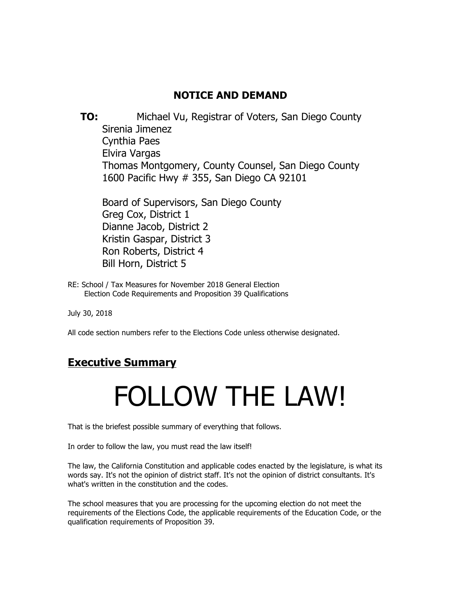# **NOTICE AND DEMAND**

 **TO:** Michael Vu, Registrar of Voters, San Diego County Sirenia Jimenez Cynthia Paes Elvira Vargas Thomas Montgomery, County Counsel, San Diego County 1600 Pacific Hwy # 355, San Diego CA 92101

Board of Supervisors, San Diego County Greg Cox, District 1 Dianne Jacob, District 2 Kristin Gaspar, District 3 Ron Roberts, District 4 Bill Horn, District 5

RE: School / Tax Measures for November 2018 General Election Election Code Requirements and Proposition 39 Qualifications

July 30, 2018

All code section numbers refer to the Elections Code unless otherwise designated.

# **Executive Summary**

# FOLLOW THE LAW!

That is the briefest possible summary of everything that follows.

In order to follow the law, you must read the law itself!

The law, the California Constitution and applicable codes enacted by the legislature, is what its words say. It's not the opinion of district staff. It's not the opinion of district consultants. It's what's written in the constitution and the codes.

The school measures that you are processing for the upcoming election do not meet the requirements of the Elections Code, the applicable requirements of the Education Code, or the qualification requirements of Proposition 39.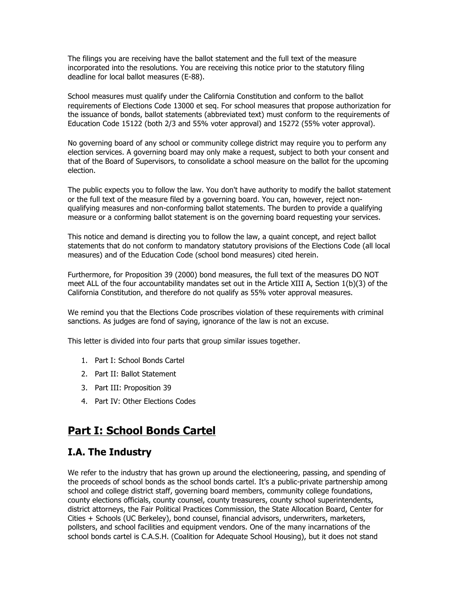The filings you are receiving have the ballot statement and the full text of the measure incorporated into the resolutions. You are receiving this notice prior to the statutory filing deadline for local ballot measures (E-88).

School measures must qualify under the California Constitution and conform to the ballot requirements of Elections Code 13000 et seq. For school measures that propose authorization for the issuance of bonds, ballot statements (abbreviated text) must conform to the requirements of Education Code 15122 (both 2/3 and 55% voter approval) and 15272 (55% voter approval).

No governing board of any school or community college district may require you to perform any election services. A governing board may only make a request, subject to both your consent and that of the Board of Supervisors, to consolidate a school measure on the ballot for the upcoming election.

The public expects you to follow the law. You don't have authority to modify the ballot statement or the full text of the measure filed by a governing board. You can, however, reject nonqualifying measures and non-conforming ballot statements. The burden to provide a qualifying measure or a conforming ballot statement is on the governing board requesting your services.

This notice and demand is directing you to follow the law, a quaint concept, and reject ballot statements that do not conform to mandatory statutory provisions of the Elections Code (all local measures) and of the Education Code (school bond measures) cited herein.

Furthermore, for Proposition 39 (2000) bond measures, the full text of the measures DO NOT meet ALL of the four accountability mandates set out in the Article XIII A, Section 1(b)(3) of the California Constitution, and therefore do not qualify as 55% voter approval measures.

We remind you that the Elections Code proscribes violation of these requirements with criminal sanctions. As judges are fond of saying, ignorance of the law is not an excuse.

This letter is divided into four parts that group similar issues together.

- 1. Part I: School Bonds Cartel
- 2. Part II: Ballot Statement
- 3. Part III: Proposition 39
- 4. Part IV: Other Elections Codes

# **Part I: School Bonds Cartel**

## **I.A. The Industry**

We refer to the industry that has grown up around the electioneering, passing, and spending of the proceeds of school bonds as the school bonds cartel. It's a public-private partnership among school and college district staff, governing board members, community college foundations, county elections officials, county counsel, county treasurers, county school superintendents, district attorneys, the Fair Political Practices Commission, the State Allocation Board, Center for Cities + Schools (UC Berkeley), bond counsel, financial advisors, underwriters, marketers, pollsters, and school facilities and equipment vendors. One of the many incarnations of the school bonds cartel is C.A.S.H. (Coalition for Adequate School Housing), but it does not stand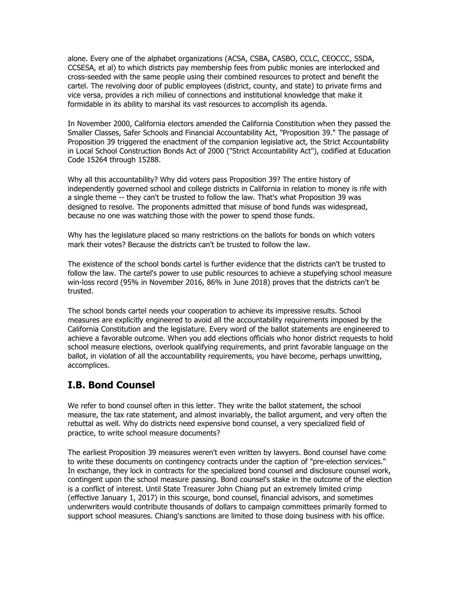alone. Every one of the alphabet organizations (ACSA, CSBA, CASBO, CCLC, CEOCCC, SSDA, CCSESA, et al) to which districts pay membership fees from public monies are interlocked and cross-seeded with the same people using their combined resources to protect and benefit the cartel. The revolving door of public employees (district, county, and state) to private firms and vice versa, provides a rich milieu of connections and institutional knowledge that make it formidable in its ability to marshal its vast resources to accomplish its agenda.

In November 2000, California electors amended the California Constitution when they passed the Smaller Classes, Safer Schools and Financial Accountability Act, "Proposition 39." The passage of Proposition 39 triggered the enactment of the companion legislative act, the Strict Accountability in Local School Construction Bonds Act of 2000 ("Strict Accountability Act"), codified at Education Code 15264 through 15288.

Why all this accountability? Why did voters pass Proposition 39? The entire history of independently governed school and college districts in California in relation to money is rife with a single theme -- they can't be trusted to follow the law. That's what Proposition 39 was designed to resolve. The proponents admitted that misuse of bond funds was widespread, because no one was watching those with the power to spend those funds.

Why has the legislature placed so many restrictions on the ballots for bonds on which voters mark their votes? Because the districts can't be trusted to follow the law.

The existence of the school bonds cartel is further evidence that the districts can't be trusted to follow the law. The cartel's power to use public resources to achieve a stupefying school measure win-loss record (95% in November 2016, 86% in June 2018) proves that the districts can't be trusted.

The school bonds cartel needs your cooperation to achieve its impressive results. School measures are explicitly engineered to avoid all the accountability requirements imposed by the California Constitution and the legislature. Every word of the ballot statements are engineered to achieve a favorable outcome. When you add elections officials who honor district requests to hold school measure elections, overlook qualifying requirements, and print favorable language on the ballot, in violation of all the accountability requirements, you have become, perhaps unwitting, accomplices.

# **I.B. Bond Counsel**

We refer to bond counsel often in this letter. They write the ballot statement, the school measure, the tax rate statement, and almost invariably, the ballot argument, and very often the rebuttal as well. Why do districts need expensive bond counsel, a very specialized field of practice, to write school measure documents?

The earliest Proposition 39 measures weren't even written by lawyers. Bond counsel have come to write these documents on contingency contracts under the caption of "pre-election services." In exchange, they lock in contracts for the specialized bond counsel and disclosure counsel work, contingent upon the school measure passing. Bond counsel's stake in the outcome of the election is a conflict of interest. Until State Treasurer John Chiang put an extremely limited crimp (effective January 1, 2017) in this scourge, bond counsel, financial advisors, and sometimes underwriters would contribute thousands of dollars to campaign committees primarily formed to support school measures. Chiang's sanctions are limited to those doing business with his office.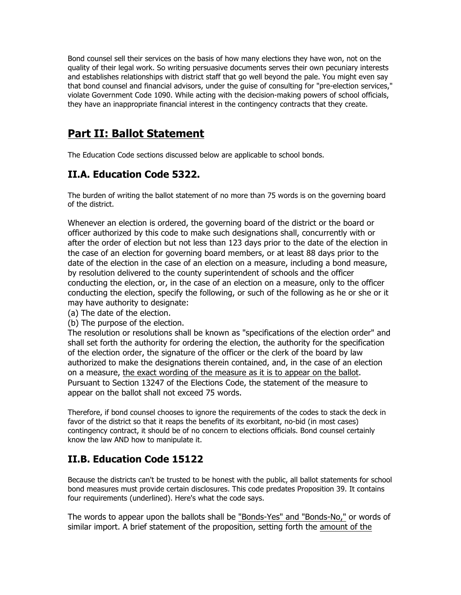Bond counsel sell their services on the basis of how many elections they have won, not on the quality of their legal work. So writing persuasive documents serves their own pecuniary interests and establishes relationships with district staff that go well beyond the pale. You might even say that bond counsel and financial advisors, under the guise of consulting for "pre-election services," violate Government Code 1090. While acting with the decision-making powers of school officials, they have an inappropriate financial interest in the contingency contracts that they create.

# **Part II: Ballot Statement**

The Education Code sections discussed below are applicable to school bonds.

# **II.A. Education Code 5322.**

The burden of writing the ballot statement of no more than 75 words is on the governing board of the district.

Whenever an election is ordered, the governing board of the district or the board or officer authorized by this code to make such designations shall, concurrently with or after the order of election but not less than 123 days prior to the date of the election in the case of an election for governing board members, or at least 88 days prior to the date of the election in the case of an election on a measure, including a bond measure, by resolution delivered to the county superintendent of schools and the officer conducting the election, or, in the case of an election on a measure, only to the officer conducting the election, specify the following, or such of the following as he or she or it may have authority to designate:

- (a) The date of the election.
- (b) The purpose of the election.

The resolution or resolutions shall be known as "specifications of the election order" and shall set forth the authority for ordering the election, the authority for the specification of the election order, the signature of the officer or the clerk of the board by law authorized to make the designations therein contained, and, in the case of an election on a measure, the exact wording of the measure as it is to appear on the ballot. Pursuant to Section 13247 of the Elections Code, the statement of the measure to appear on the ballot shall not exceed 75 words.

Therefore, if bond counsel chooses to ignore the requirements of the codes to stack the deck in favor of the district so that it reaps the benefits of its exorbitant, no-bid (in most cases) contingency contract, it should be of no concern to elections officials. Bond counsel certainly know the law AND how to manipulate it.

# **II.B. Education Code 15122**

Because the districts can't be trusted to be honest with the public, all ballot statements for school bond measures must provide certain disclosures. This code predates Proposition 39. It contains four requirements (underlined). Here's what the code says.

The words to appear upon the ballots shall be "Bonds-Yes" and "Bonds-No," or words of similar import. A brief statement of the proposition, setting forth the amount of the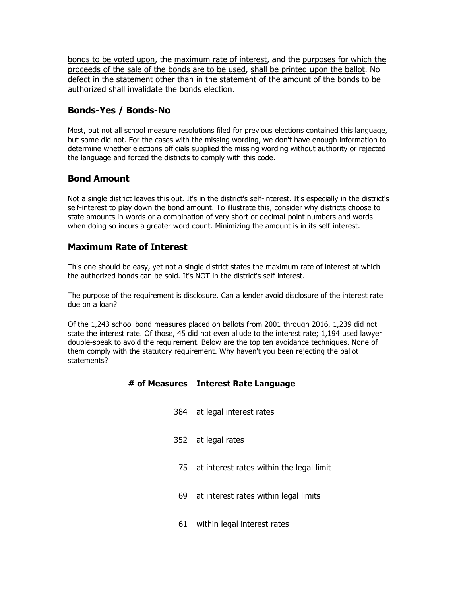bonds to be voted upon, the maximum rate of interest, and the purposes for which the proceeds of the sale of the bonds are to be used, shall be printed upon the ballot. No defect in the statement other than in the statement of the amount of the bonds to be authorized shall invalidate the bonds election.

## **Bonds-Yes / Bonds-No**

Most, but not all school measure resolutions filed for previous elections contained this language, but some did not. For the cases with the missing wording, we don't have enough information to determine whether elections officials supplied the missing wording without authority or rejected the language and forced the districts to comply with this code.

## **Bond Amount**

Not a single district leaves this out. It's in the district's self-interest. It's especially in the district's self-interest to play down the bond amount. To illustrate this, consider why districts choose to state amounts in words or a combination of very short or decimal-point numbers and words when doing so incurs a greater word count. Minimizing the amount is in its self-interest.

## **Maximum Rate of Interest**

This one should be easy, yet not a single district states the maximum rate of interest at which the authorized bonds can be sold. It's NOT in the district's self-interest.

The purpose of the requirement is disclosure. Can a lender avoid disclosure of the interest rate due on a loan?

Of the 1,243 school bond measures placed on ballots from 2001 through 2016, 1,239 did not state the interest rate. Of those, 45 did not even allude to the interest rate; 1,194 used lawyer double-speak to avoid the requirement. Below are the top ten avoidance techniques. None of them comply with the statutory requirement. Why haven't you been rejecting the ballot statements?

#### **# of Measures Interest Rate Language**

- 384 at legal interest rates
- 352 at legal rates
- 75 at interest rates within the legal limit
- 69 at interest rates within legal limits
- 61 within legal interest rates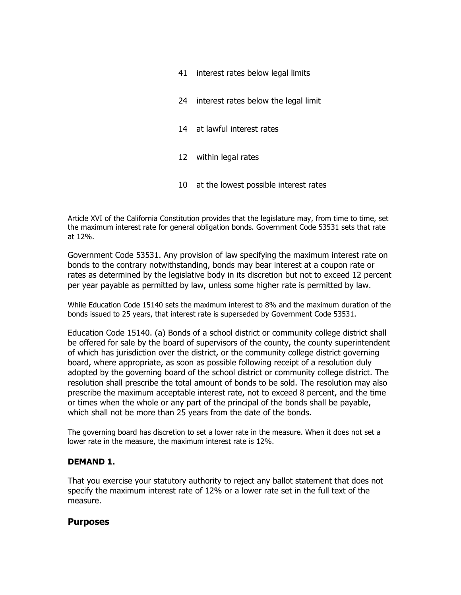- 41 interest rates below legal limits
- 24 interest rates below the legal limit
- 14 at lawful interest rates
- 12 within legal rates
- 10 at the lowest possible interest rates

Article XVI of the California Constitution provides that the legislature may, from time to time, set the maximum interest rate for general obligation bonds. Government Code 53531 sets that rate at 12%.

Government Code 53531. Any provision of law specifying the maximum interest rate on bonds to the contrary notwithstanding, bonds may bear interest at a coupon rate or rates as determined by the legislative body in its discretion but not to exceed 12 percent per year payable as permitted by law, unless some higher rate is permitted by law.

While Education Code 15140 sets the maximum interest to 8% and the maximum duration of the bonds issued to 25 years, that interest rate is superseded by Government Code 53531.

Education Code 15140. (a) Bonds of a school district or community college district shall be offered for sale by the board of supervisors of the county, the county superintendent of which has jurisdiction over the district, or the community college district governing board, where appropriate, as soon as possible following receipt of a resolution duly adopted by the governing board of the school district or community college district. The resolution shall prescribe the total amount of bonds to be sold. The resolution may also prescribe the maximum acceptable interest rate, not to exceed 8 percent, and the time or times when the whole or any part of the principal of the bonds shall be payable, which shall not be more than 25 years from the date of the bonds.

The governing board has discretion to set a lower rate in the measure. When it does not set a lower rate in the measure, the maximum interest rate is 12%.

#### **DEMAND 1.**

That you exercise your statutory authority to reject any ballot statement that does not specify the maximum interest rate of 12% or a lower rate set in the full text of the measure.

#### **Purposes**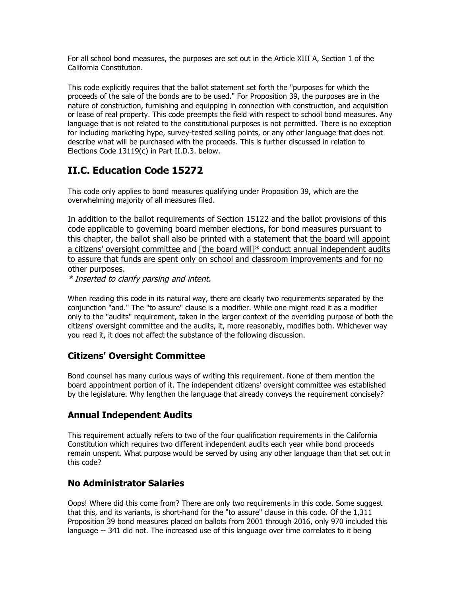For all school bond measures, the purposes are set out in the Article XIII A, Section 1 of the California Constitution.

This code explicitly requires that the ballot statement set forth the "purposes for which the proceeds of the sale of the bonds are to be used." For Proposition 39, the purposes are in the nature of construction, furnishing and equipping in connection with construction, and acquisition or lease of real property. This code preempts the field with respect to school bond measures. Any language that is not related to the constitutional purposes is not permitted. There is no exception for including marketing hype, survey-tested selling points, or any other language that does not describe what will be purchased with the proceeds. This is further discussed in relation to Elections Code 13119(c) in Part II.D.3. below.

# **II.C. Education Code 15272**

This code only applies to bond measures qualifying under Proposition 39, which are the overwhelming majority of all measures filed.

In addition to the ballot requirements of Section 15122 and the ballot provisions of this code applicable to governing board member elections, for bond measures pursuant to this chapter, the ballot shall also be printed with a statement that the board will appoint a citizens' oversight committee and [the board will]\* conduct annual independent audits to assure that funds are spent only on school and classroom improvements and for no other purposes.

\* Inserted to clarify parsing and intent.

When reading this code in its natural way, there are clearly two requirements separated by the conjunction "and." The "to assure" clause is a modifier. While one might read it as a modifier only to the "audits" requirement, taken in the larger context of the overriding purpose of both the citizens' oversight committee and the audits, it, more reasonably, modifies both. Whichever way you read it, it does not affect the substance of the following discussion.

# **Citizens' Oversight Committee**

Bond counsel has many curious ways of writing this requirement. None of them mention the board appointment portion of it. The independent citizens' oversight committee was established by the legislature. Why lengthen the language that already conveys the requirement concisely?

# **Annual Independent Audits**

This requirement actually refers to two of the four qualification requirements in the California Constitution which requires two different independent audits each year while bond proceeds remain unspent. What purpose would be served by using any other language than that set out in this code?

# **No Administrator Salaries**

Oops! Where did this come from? There are only two requirements in this code. Some suggest that this, and its variants, is short-hand for the "to assure" clause in this code. Of the 1,311 Proposition 39 bond measures placed on ballots from 2001 through 2016, only 970 included this language -- 341 did not. The increased use of this language over time correlates to it being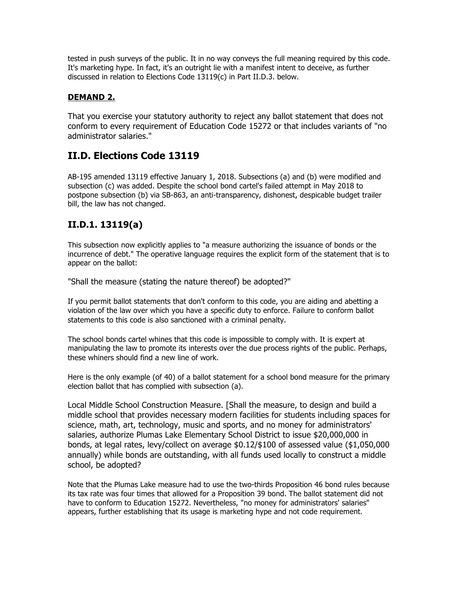tested in push surveys of the public. It in no way conveys the full meaning required by this code. It's marketing hype. In fact, it's an outright lie with a manifest intent to deceive, as further discussed in relation to Elections Code 13119(c) in Part II.D.3. below.

#### **DEMAND 2.**

That you exercise your statutory authority to reject any ballot statement that does not conform to every requirement of Education Code 15272 or that includes variants of "no administrator salaries."

# **II.D. Elections Code 13119**

AB-195 amended 13119 effective January 1, 2018. Subsections (a) and (b) were modified and subsection (c) was added. Despite the school bond cartel's failed attempt in May 2018 to postpone subsection (b) via SB-863, an anti-transparency, dishonest, despicable budget trailer bill, the law has not changed.

# **II.D.1. 13119(a)**

This subsection now explicitly applies to "a measure authorizing the issuance of bonds or the incurrence of debt." The operative language requires the explicit form of the statement that is to appear on the ballot:

"Shall the measure (stating the nature thereof) be adopted?"

If you permit ballot statements that don't conform to this code, you are aiding and abetting a violation of the law over which you have a specific duty to enforce. Failure to conform ballot statements to this code is also sanctioned with a criminal penalty.

The school bonds cartel whines that this code is impossible to comply with. It is expert at manipulating the law to promote its interests over the due process rights of the public. Perhaps, these whiners should find a new line of work.

Here is the only example (of 40) of a ballot statement for a school bond measure for the primary election ballot that has complied with subsection (a).

Local Middle School Construction Measure. [Shall the measure, to design and build a middle school that provides necessary modern facilities for students including spaces for science, math, art, technology, music and sports, and no money for administrators' salaries, authorize Plumas Lake Elementary School District to issue \$20,000,000 in bonds, at legal rates, levy/collect on average \$0.12/\$100 of assessed value (\$1,050,000 annually) while bonds are outstanding, with all funds used locally to construct a middle school, be adopted?

Note that the Plumas Lake measure had to use the two-thirds Proposition 46 bond rules because its tax rate was four times that allowed for a Proposition 39 bond. The ballot statement did not have to conform to Education 15272. Nevertheless, "no money for administrators' salaries" appears, further establishing that its usage is marketing hype and not code requirement.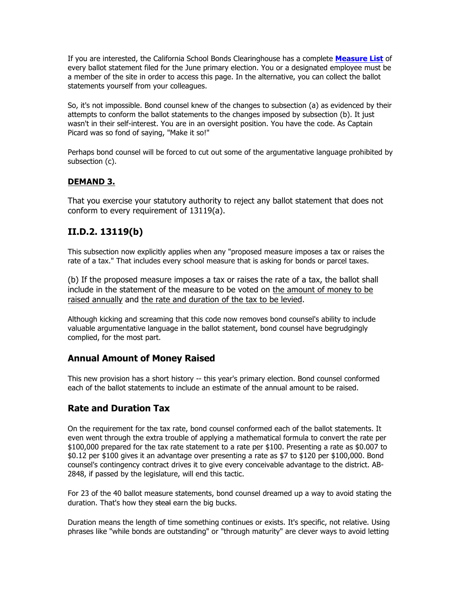If you are interested, the California School Bonds Clearinghouse has a complete **Measure List** of every ballot statement filed for the June primary election. You or a designated employee must be a member of the site in order to access this page. In the alternative, you can collect the ballot statements yourself from your colleagues.

So, it's not impossible. Bond counsel knew of the changes to subsection (a) as evidenced by their attempts to conform the ballot statements to the changes imposed by subsection (b). It just wasn't in their self-interest. You are in an oversight position. You have the code. As Captain Picard was so fond of saying, "Make it so!"

Perhaps bond counsel will be forced to cut out some of the argumentative language prohibited by subsection (c).

#### **DEMAND 3.**

That you exercise your statutory authority to reject any ballot statement that does not conform to every requirement of 13119(a).

## **II.D.2. 13119(b)**

This subsection now explicitly applies when any "proposed measure imposes a tax or raises the rate of a tax." That includes every school measure that is asking for bonds or parcel taxes.

(b) If the proposed measure imposes a tax or raises the rate of a tax, the ballot shall include in the statement of the measure to be voted on the amount of money to be raised annually and the rate and duration of the tax to be levied.

Although kicking and screaming that this code now removes bond counsel's ability to include valuable argumentative language in the ballot statement, bond counsel have begrudgingly complied, for the most part.

#### **Annual Amount of Money Raised**

This new provision has a short history -- this year's primary election. Bond counsel conformed each of the ballot statements to include an estimate of the annual amount to be raised.

## **Rate and Duration Tax**

On the requirement for the tax rate, bond counsel conformed each of the ballot statements. It even went through the extra trouble of applying a mathematical formula to convert the rate per \$100,000 prepared for the tax rate statement to a rate per \$100. Presenting a rate as \$0.007 to \$0.12 per \$100 gives it an advantage over presenting a rate as \$7 to \$120 per \$100,000. Bond counsel's contingency contract drives it to give every conceivable advantage to the district. AB-2848, if passed by the legislature, will end this tactic.

For 23 of the 40 ballot measure statements, bond counsel dreamed up a way to avoid stating the duration. That's how they steal earn the big bucks.

Duration means the length of time something continues or exists. It's specific, not relative. Using phrases like "while bonds are outstanding" or "through maturity" are clever ways to avoid letting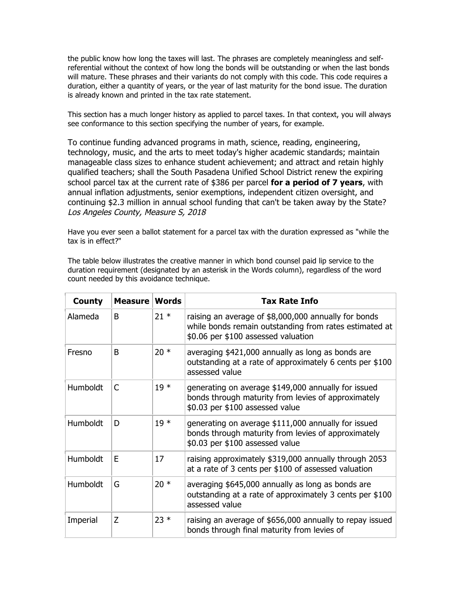the public know how long the taxes will last. The phrases are completely meaningless and selfreferential without the context of how long the bonds will be outstanding or when the last bonds will mature. These phrases and their variants do not comply with this code. This code requires a duration, either a quantity of years, or the year of last maturity for the bond issue. The duration is already known and printed in the tax rate statement.

This section has a much longer history as applied to parcel taxes. In that context, you will always see conformance to this section specifying the number of years, for example.

To continue funding advanced programs in math, science, reading, engineering, technology, music, and the arts to meet today's higher academic standards; maintain manageable class sizes to enhance student achievement; and attract and retain highly qualified teachers; shall the South Pasadena Unified School District renew the expiring school parcel tax at the current rate of \$386 per parcel **for a period of 7 years**, with annual inflation adjustments, senior exemptions, independent citizen oversight, and continuing \$2.3 million in annual school funding that can't be taken away by the State? Los Angeles County, Measure S, 2018

Have you ever seen a ballot statement for a parcel tax with the duration expressed as "while the tax is in effect?"

The table below illustrates the creative manner in which bond counsel paid lip service to the duration requirement (designated by an asterisk in the Words column), regardless of the word count needed by this avoidance technique.

| <b>County</b>   | <b>Measure Words</b> |        | <b>Tax Rate Info</b>                                                                                                                                  |
|-----------------|----------------------|--------|-------------------------------------------------------------------------------------------------------------------------------------------------------|
| Alameda         | B                    | $21 *$ | raising an average of \$8,000,000 annually for bonds<br>while bonds remain outstanding from rates estimated at<br>\$0.06 per \$100 assessed valuation |
| Fresno          | B                    | $20*$  | averaging \$421,000 annually as long as bonds are<br>outstanding at a rate of approximately 6 cents per \$100<br>assessed value                       |
| Humboldt        | C                    | $19*$  | generating on average \$149,000 annually for issued<br>bonds through maturity from levies of approximately<br>\$0.03 per \$100 assessed value         |
| Humboldt        | D                    | $19*$  | generating on average \$111,000 annually for issued<br>bonds through maturity from levies of approximately<br>\$0.03 per \$100 assessed value         |
| <b>Humboldt</b> | F                    | 17     | raising approximately \$319,000 annually through 2053<br>at a rate of 3 cents per \$100 of assessed valuation                                         |
| Humboldt        | G                    | $20*$  | averaging \$645,000 annually as long as bonds are<br>outstanding at a rate of approximately 3 cents per \$100<br>assessed value                       |
| Imperial        | Z                    | $23 *$ | raising an average of \$656,000 annually to repay issued<br>bonds through final maturity from levies of                                               |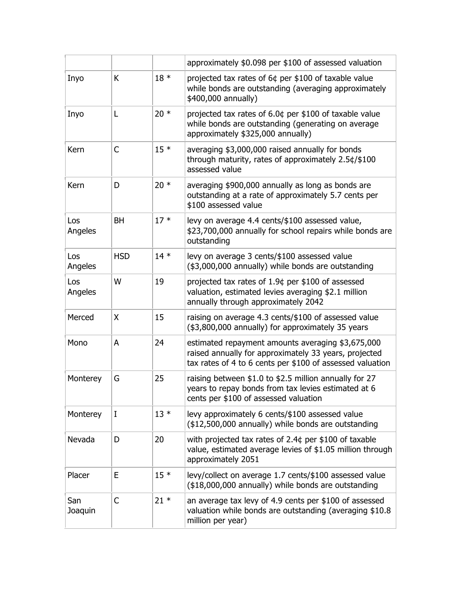|                |              |        | approximately \$0.098 per \$100 of assessed valuation                                                                                                                   |  |
|----------------|--------------|--------|-------------------------------------------------------------------------------------------------------------------------------------------------------------------------|--|
| Inyo           | K            | $18 *$ | projected tax rates of 6¢ per \$100 of taxable value<br>while bonds are outstanding (averaging approximately<br>\$400,000 annually)                                     |  |
| Inyo           | L            | $20*$  | projected tax rates of $6.0¢$ per \$100 of taxable value<br>while bonds are outstanding (generating on average<br>approximately \$325,000 annually)                     |  |
| Kern           | C            | $15*$  | averaging \$3,000,000 raised annually for bonds<br>through maturity, rates of approximately 2.5¢/\$100<br>assessed value                                                |  |
| Kern           | D            | $20*$  | averaging \$900,000 annually as long as bonds are<br>outstanding at a rate of approximately 5.7 cents per<br>\$100 assessed value                                       |  |
| Los<br>Angeles | <b>BH</b>    | $17*$  | levy on average 4.4 cents/\$100 assessed value,<br>\$23,700,000 annually for school repairs while bonds are<br>outstanding                                              |  |
| Los<br>Angeles | <b>HSD</b>   | $14*$  | levy on average 3 cents/\$100 assessed value<br>(\$3,000,000 annually) while bonds are outstanding                                                                      |  |
| Los<br>Angeles | W            | 19     | projected tax rates of $1.94$ per \$100 of assessed<br>valuation, estimated levies averaging \$2.1 million<br>annually through approximately 2042                       |  |
| Merced         | X            | 15     | raising on average 4.3 cents/\$100 of assessed value<br>(\$3,800,000 annually) for approximately 35 years                                                               |  |
| Mono           | A            | 24     | estimated repayment amounts averaging \$3,675,000<br>raised annually for approximately 33 years, projected<br>tax rates of 4 to 6 cents per \$100 of assessed valuation |  |
| Monterey       | G            | 25     | raising between \$1.0 to \$2.5 million annually for 27<br>years to repay bonds from tax levies estimated at 6<br>cents per \$100 of assessed valuation                  |  |
| Monterey       | I            | $13*$  | levy approximately 6 cents/\$100 assessed value<br>(\$12,500,000 annually) while bonds are outstanding                                                                  |  |
| Nevada         | D            | 20     | with projected tax rates of 2.4¢ per \$100 of taxable<br>value, estimated average levies of \$1.05 million through<br>approximately 2051                                |  |
| Placer         | E            | $15*$  | levy/collect on average 1.7 cents/\$100 assessed value<br>(\$18,000,000 annually) while bonds are outstanding                                                           |  |
| San<br>Joaquin | $\mathsf{C}$ | $21 *$ | an average tax levy of 4.9 cents per \$100 of assessed<br>valuation while bonds are outstanding (averaging \$10.8)<br>million per year)                                 |  |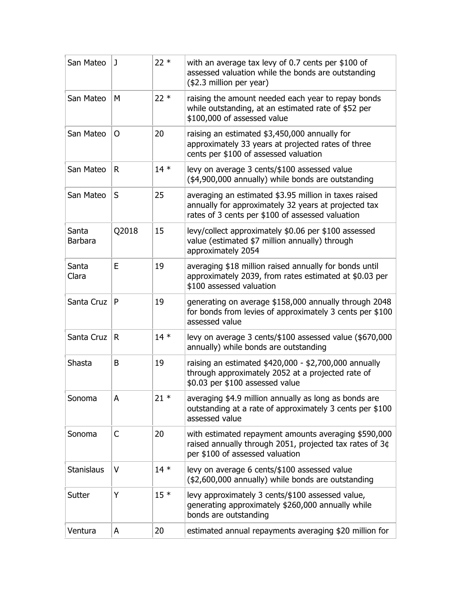| San Mateo               | J     | $22 *$ | with an average tax levy of 0.7 cents per \$100 of<br>assessed valuation while the bonds are outstanding<br>(\$2.3 million per year)                              |
|-------------------------|-------|--------|-------------------------------------------------------------------------------------------------------------------------------------------------------------------|
| San Mateo               | M     | $22*$  | raising the amount needed each year to repay bonds<br>while outstanding, at an estimated rate of \$52 per<br>\$100,000 of assessed value                          |
| San Mateo               | 0     | 20     | raising an estimated \$3,450,000 annually for<br>approximately 33 years at projected rates of three<br>cents per \$100 of assessed valuation                      |
| San Mateo               | R.    | $14*$  | levy on average 3 cents/\$100 assessed value<br>(\$4,900,000 annually) while bonds are outstanding                                                                |
| San Mateo               | S     | 25     | averaging an estimated \$3.95 million in taxes raised<br>annually for approximately 32 years at projected tax<br>rates of 3 cents per \$100 of assessed valuation |
| Santa<br><b>Barbara</b> | Q2018 | 15     | levy/collect approximately \$0.06 per \$100 assessed<br>value (estimated \$7 million annually) through<br>approximately 2054                                      |
| Santa<br>Clara          | E     | 19     | averaging \$18 million raised annually for bonds until<br>approximately 2039, from rates estimated at \$0.03 per<br>\$100 assessed valuation                      |
| Santa Cruz              | P     | 19     | generating on average \$158,000 annually through 2048<br>for bonds from levies of approximately 3 cents per \$100<br>assessed value                               |
| Santa Cruz              | R     | $14*$  | levy on average 3 cents/\$100 assessed value (\$670,000<br>annually) while bonds are outstanding                                                                  |
| Shasta                  | B     | 19     | raising an estimated $$420,000 - $2,700,000$ annually<br>through approximately 2052 at a projected rate of<br>\$0.03 per \$100 assessed value                     |
| Sonoma                  | A     | $21 *$ | averaging \$4.9 million annually as long as bonds are<br>outstanding at a rate of approximately 3 cents per \$100<br>assessed value                               |
| Sonoma                  | C     | 20     | with estimated repayment amounts averaging \$590,000<br>raised annually through 2051, projected tax rates of 3¢<br>per \$100 of assessed valuation                |
| <b>Stanislaus</b>       | V     | $14*$  | levy on average 6 cents/\$100 assessed value<br>(\$2,600,000 annually) while bonds are outstanding                                                                |
| Sutter                  | Y     | $15*$  | levy approximately 3 cents/\$100 assessed value,<br>generating approximately \$260,000 annually while<br>bonds are outstanding                                    |
| Ventura                 | A     | 20     | estimated annual repayments averaging \$20 million for                                                                                                            |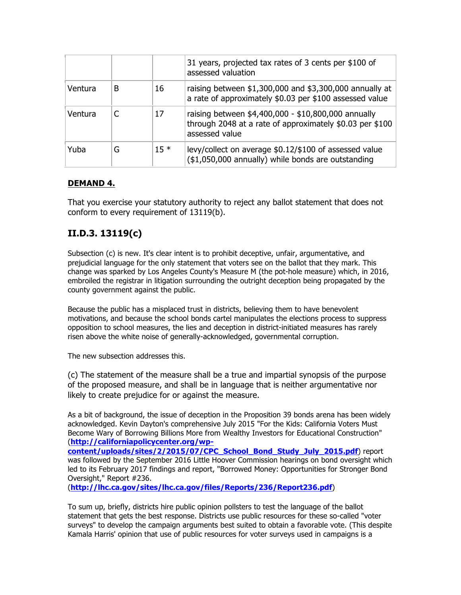|         |   |        | 31 years, projected tax rates of 3 cents per \$100 of<br>assessed valuation                                                       |
|---------|---|--------|-----------------------------------------------------------------------------------------------------------------------------------|
| Ventura | В | 16     | raising between $$1,300,000$ and $$3,300,000$ annually at<br>a rate of approximately \$0.03 per \$100 assessed value              |
| Ventura |   | 17     | raising between \$4,400,000 - \$10,800,000 annually<br>through 2048 at a rate of approximately \$0.03 per \$100<br>assessed value |
| Yuba    | G | $15 *$ | levy/collect on average \$0.12/\$100 of assessed value<br>(\$1,050,000 annually) while bonds are outstanding                      |

#### **DEMAND 4.**

That you exercise your statutory authority to reject any ballot statement that does not conform to every requirement of 13119(b).

# **II.D.3. 13119(c)**

Subsection (c) is new. It's clear intent is to prohibit deceptive, unfair, argumentative, and prejudicial language for the only statement that voters see on the ballot that they mark. This change was sparked by Los Angeles County's Measure M (the pot-hole measure) which, in 2016, embroiled the registrar in litigation surrounding the outright deception being propagated by the county government against the public.

Because the public has a misplaced trust in districts, believing them to have benevolent motivations, and because the school bonds cartel manipulates the elections process to suppress opposition to school measures, the lies and deception in district-initiated measures has rarely risen above the white noise of generally-acknowledged, governmental corruption.

The new subsection addresses this.

(c) The statement of the measure shall be a true and impartial synopsis of the purpose of the proposed measure, and shall be in language that is neither argumentative nor likely to create prejudice for or against the measure.

As a bit of background, the issue of deception in the Proposition 39 bonds arena has been widely acknowledged. Kevin Dayton's comprehensive July 2015 "For the Kids: California Voters Must Become Wary of Borrowing Billions More from Wealthy Investors for Educational Construction" (**http://californiapolicycenter.org/wpcontent/uploads/sites/2/2015/07/CPC\_School\_Bond\_Study\_July\_2015.pdf**) report was followed by the September 2016 Little Hoover Commission hearings on bond oversight which led to its February 2017 findings and report, "Borrowed Money: Opportunities for Stronger Bond

Oversight," Report #236.

(**http://lhc.ca.gov/sites/lhc.ca.gov/files/Reports/236/Report236.pdf**)

To sum up, briefly, districts hire public opinion pollsters to test the language of the ballot statement that gets the best response. Districts use public resources for these so-called "voter surveys" to develop the campaign arguments best suited to obtain a favorable vote. (This despite Kamala Harris' opinion that use of public resources for voter surveys used in campaigns is a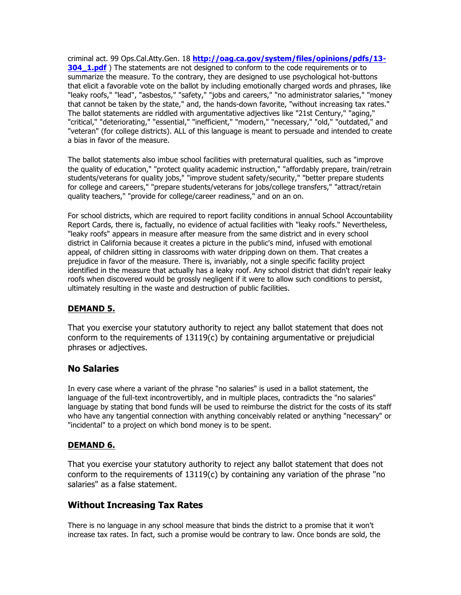criminal act. 99 Ops.Cal.Atty.Gen. 18 **http://oag.ca.gov/system/files/opinions/pdfs/13- 304 1.pdf**) The statements are not designed to conform to the code requirements or to summarize the measure. To the contrary, they are designed to use psychological hot-buttons that elicit a favorable vote on the ballot by including emotionally charged words and phrases, like "leaky roofs," "lead", "asbestos," "safety," "jobs and careers," "no administrator salaries," "money that cannot be taken by the state," and, the hands-down favorite, "without increasing tax rates." The ballot statements are riddled with argumentative adjectives like "21st Century," "aging," "critical," "deteriorating," "essential," "inefficient," "modern," "necessary," "old," "outdated," and "veteran" (for college districts). ALL of this language is meant to persuade and intended to create a bias in favor of the measure.

The ballot statements also imbue school facilities with preternatural qualities, such as "improve the quality of education," "protect quality academic instruction," "affordably prepare, train/retrain students/veterans for quality jobs," "improve student safety/security," "better prepare students for college and careers," "prepare students/veterans for jobs/college transfers," "attract/retain quality teachers," "provide for college/career readiness," and on an on.

For school districts, which are required to report facility conditions in annual School Accountability Report Cards, there is, factually, no evidence of actual facilities with "leaky roofs." Nevertheless, "leaky roofs" appears in measure after measure from the same district and in every school district in California because it creates a picture in the public's mind, infused with emotional appeal, of children sitting in classrooms with water dripping down on them. That creates a prejudice in favor of the measure. There is, invariably, not a single specific facility project identified in the measure that actually has a leaky roof. Any school district that didn't repair leaky roofs when discovered would be grossly negligent if it were to allow such conditions to persist, ultimately resulting in the waste and destruction of public facilities.

#### **DEMAND 5.**

That you exercise your statutory authority to reject any ballot statement that does not conform to the requirements of  $13119(c)$  by containing argumentative or prejudicial phrases or adjectives.

#### **No Salaries**

In every case where a variant of the phrase "no salaries" is used in a ballot statement, the language of the full-text incontrovertibly, and in multiple places, contradicts the "no salaries" language by stating that bond funds will be used to reimburse the district for the costs of its staff who have any tangential connection with anything conceivably related or anything "necessary" or "incidental" to a project on which bond money is to be spent.

#### **DEMAND 6.**

That you exercise your statutory authority to reject any ballot statement that does not conform to the requirements of  $13119(c)$  by containing any variation of the phrase "no salaries" as a false statement.

## **Without Increasing Tax Rates**

There is no language in any school measure that binds the district to a promise that it won't increase tax rates. In fact, such a promise would be contrary to law. Once bonds are sold, the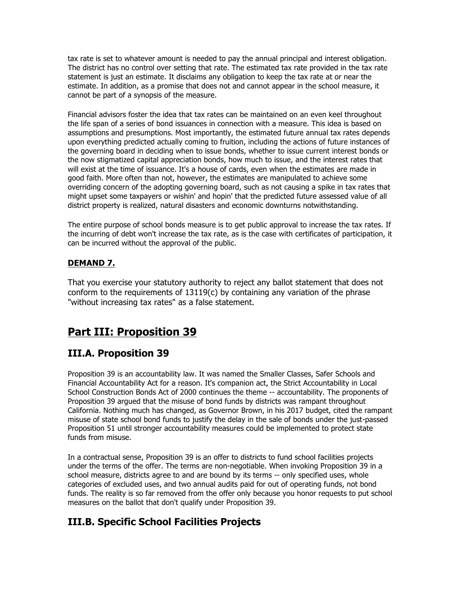tax rate is set to whatever amount is needed to pay the annual principal and interest obligation. The district has no control over setting that rate. The estimated tax rate provided in the tax rate statement is just an estimate. It disclaims any obligation to keep the tax rate at or near the estimate. In addition, as a promise that does not and cannot appear in the school measure, it cannot be part of a synopsis of the measure.

Financial advisors foster the idea that tax rates can be maintained on an even keel throughout the life span of a series of bond issuances in connection with a measure. This idea is based on assumptions and presumptions. Most importantly, the estimated future annual tax rates depends upon everything predicted actually coming to fruition, including the actions of future instances of the governing board in deciding when to issue bonds, whether to issue current interest bonds or the now stigmatized capital appreciation bonds, how much to issue, and the interest rates that will exist at the time of issuance. It's a house of cards, even when the estimates are made in good faith. More often than not, however, the estimates are manipulated to achieve some overriding concern of the adopting governing board, such as not causing a spike in tax rates that might upset some taxpayers or wishin' and hopin' that the predicted future assessed value of all district property is realized, natural disasters and economic downturns notwithstanding.

The entire purpose of school bonds measure is to get public approval to increase the tax rates. If the incurring of debt won't increase the tax rate, as is the case with certificates of participation, it can be incurred without the approval of the public.

#### **DEMAND 7.**

That you exercise your statutory authority to reject any ballot statement that does not conform to the requirements of  $13119(c)$  by containing any variation of the phrase "without increasing tax rates" as a false statement.

# **Part III: Proposition 39**

# **III.A. Proposition 39**

Proposition 39 is an accountability law. It was named the Smaller Classes, Safer Schools and Financial Accountability Act for a reason. It's companion act, the Strict Accountability in Local School Construction Bonds Act of 2000 continues the theme -- accountability. The proponents of Proposition 39 argued that the misuse of bond funds by districts was rampant throughout California. Nothing much has changed, as Governor Brown, in his 2017 budget, cited the rampant misuse of state school bond funds to justify the delay in the sale of bonds under the just-passed Proposition 51 until stronger accountability measures could be implemented to protect state funds from misuse.

In a contractual sense, Proposition 39 is an offer to districts to fund school facilities projects under the terms of the offer. The terms are non-negotiable. When invoking Proposition 39 in a school measure, districts agree to and are bound by its terms -- only specified uses, whole categories of excluded uses, and two annual audits paid for out of operating funds, not bond funds. The reality is so far removed from the offer only because you honor requests to put school measures on the ballot that don't qualify under Proposition 39.

# **III.B. Specific School Facilities Projects**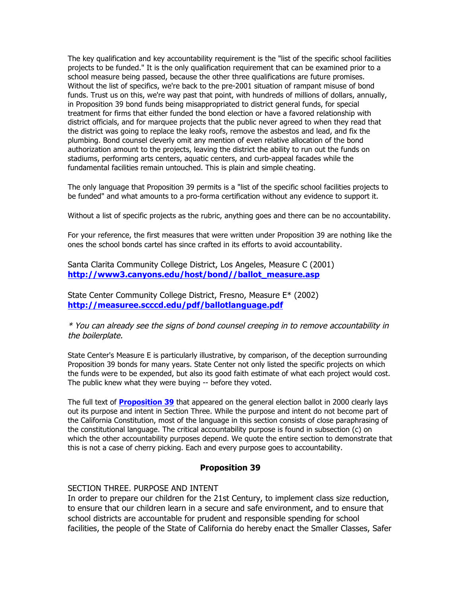The key qualification and key accountability requirement is the "list of the specific school facilities projects to be funded." It is the only qualification requirement that can be examined prior to a school measure being passed, because the other three qualifications are future promises. Without the list of specifics, we're back to the pre-2001 situation of rampant misuse of bond funds. Trust us on this, we're way past that point, with hundreds of millions of dollars, annually, in Proposition 39 bond funds being misappropriated to district general funds, for special treatment for firms that either funded the bond election or have a favored relationship with district officials, and for marquee projects that the public never agreed to when they read that the district was going to replace the leaky roofs, remove the asbestos and lead, and fix the plumbing. Bond counsel cleverly omit any mention of even relative allocation of the bond authorization amount to the projects, leaving the district the ability to run out the funds on stadiums, performing arts centers, aquatic centers, and curb-appeal facades while the fundamental facilities remain untouched. This is plain and simple cheating.

The only language that Proposition 39 permits is a "list of the specific school facilities projects to be funded" and what amounts to a pro-forma certification without any evidence to support it.

Without a list of specific projects as the rubric, anything goes and there can be no accountability.

For your reference, the first measures that were written under Proposition 39 are nothing like the ones the school bonds cartel has since crafted in its efforts to avoid accountability.

Santa Clarita Community College District, Los Angeles, Measure C (2001) **http://www3.canyons.edu/host/bond//ballot\_measure.asp**

State Center Community College District, Fresno, Measure E\* (2002) **http://measuree.scccd.edu/pdf/ballotlanguage.pdf**

\* You can already see the signs of bond counsel creeping in to remove accountability in the boilerplate.

State Center's Measure E is particularly illustrative, by comparison, of the deception surrounding Proposition 39 bonds for many years. State Center not only listed the specific projects on which the funds were to be expended, but also its good faith estimate of what each project would cost. The public knew what they were buying -- before they voted.

The full text of **Proposition 39** that appeared on the general election ballot in 2000 clearly lays out its purpose and intent in Section Three. While the purpose and intent do not become part of the California Constitution, most of the language in this section consists of close paraphrasing of the constitutional language. The critical accountability purpose is found in subsection (c) on which the other accountability purposes depend. We quote the entire section to demonstrate that this is not a case of cherry picking. Each and every purpose goes to accountability.

#### **Proposition 39**

#### SECTION THREE. PURPOSE AND INTENT

In order to prepare our children for the 21st Century, to implement class size reduction, to ensure that our children learn in a secure and safe environment, and to ensure that school districts are accountable for prudent and responsible spending for school facilities, the people of the State of California do hereby enact the Smaller Classes, Safer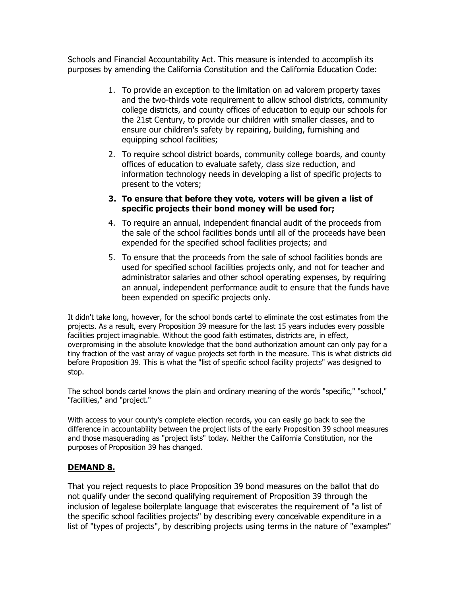Schools and Financial Accountability Act. This measure is intended to accomplish its purposes by amending the California Constitution and the California Education Code:

- 1. To provide an exception to the limitation on ad valorem property taxes and the two-thirds vote requirement to allow school districts, community college districts, and county offices of education to equip our schools for the 21st Century, to provide our children with smaller classes, and to ensure our children's safety by repairing, building, furnishing and equipping school facilities;
- 2. To require school district boards, community college boards, and county offices of education to evaluate safety, class size reduction, and information technology needs in developing a list of specific projects to present to the voters;

#### **3. To ensure that before they vote, voters will be given a list of specific projects their bond money will be used for;**

- 4. To require an annual, independent financial audit of the proceeds from the sale of the school facilities bonds until all of the proceeds have been expended for the specified school facilities projects; and
- 5. To ensure that the proceeds from the sale of school facilities bonds are used for specified school facilities projects only, and not for teacher and administrator salaries and other school operating expenses, by requiring an annual, independent performance audit to ensure that the funds have been expended on specific projects only.

It didn't take long, however, for the school bonds cartel to eliminate the cost estimates from the projects. As a result, every Proposition 39 measure for the last 15 years includes every possible facilities project imaginable. Without the good faith estimates, districts are, in effect, overpromising in the absolute knowledge that the bond authorization amount can only pay for a tiny fraction of the vast array of vague projects set forth in the measure. This is what districts did before Proposition 39. This is what the "list of specific school facility projects" was designed to stop.

The school bonds cartel knows the plain and ordinary meaning of the words "specific," "school," "facilities," and "project."

With access to your county's complete election records, you can easily go back to see the difference in accountability between the project lists of the early Proposition 39 school measures and those masquerading as "project lists" today. Neither the California Constitution, nor the purposes of Proposition 39 has changed.

#### **DEMAND 8.**

That you reject requests to place Proposition 39 bond measures on the ballot that do not qualify under the second qualifying requirement of Proposition 39 through the inclusion of legalese boilerplate language that eviscerates the requirement of "a list of the specific school facilities projects" by describing every conceivable expenditure in a list of "types of projects", by describing projects using terms in the nature of "examples"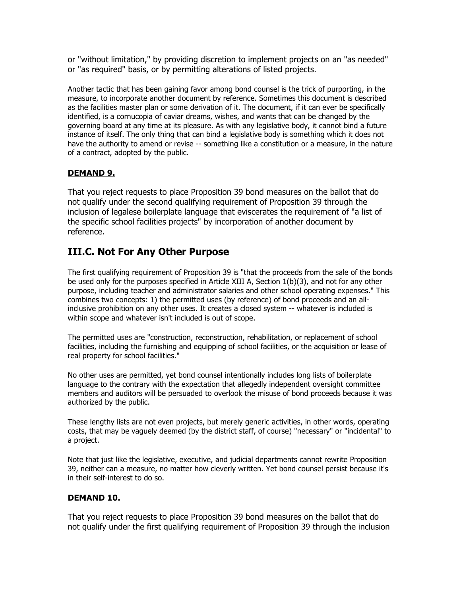or "without limitation," by providing discretion to implement projects on an "as needed" or "as required" basis, or by permitting alterations of listed projects.

Another tactic that has been gaining favor among bond counsel is the trick of purporting, in the measure, to incorporate another document by reference. Sometimes this document is described as the facilities master plan or some derivation of it. The document, if it can ever be specifically identified, is a cornucopia of caviar dreams, wishes, and wants that can be changed by the governing board at any time at its pleasure. As with any legislative body, it cannot bind a future instance of itself. The only thing that can bind a legislative body is something which it does not have the authority to amend or revise -- something like a constitution or a measure, in the nature of a contract, adopted by the public.

#### **DEMAND 9.**

That you reject requests to place Proposition 39 bond measures on the ballot that do not qualify under the second qualifying requirement of Proposition 39 through the inclusion of legalese boilerplate language that eviscerates the requirement of "a list of the specific school facilities projects" by incorporation of another document by reference.

# **III.C. Not For Any Other Purpose**

The first qualifying requirement of Proposition 39 is "that the proceeds from the sale of the bonds be used only for the purposes specified in Article XIII A, Section 1(b)(3), and not for any other purpose, including teacher and administrator salaries and other school operating expenses." This combines two concepts: 1) the permitted uses (by reference) of bond proceeds and an allinclusive prohibition on any other uses. It creates a closed system -- whatever is included is within scope and whatever isn't included is out of scope.

The permitted uses are "construction, reconstruction, rehabilitation, or replacement of school facilities, including the furnishing and equipping of school facilities, or the acquisition or lease of real property for school facilities."

No other uses are permitted, yet bond counsel intentionally includes long lists of boilerplate language to the contrary with the expectation that allegedly independent oversight committee members and auditors will be persuaded to overlook the misuse of bond proceeds because it was authorized by the public.

These lengthy lists are not even projects, but merely generic activities, in other words, operating costs, that may be vaguely deemed (by the district staff, of course) "necessary" or "incidental" to a project.

Note that just like the legislative, executive, and judicial departments cannot rewrite Proposition 39, neither can a measure, no matter how cleverly written. Yet bond counsel persist because it's in their self-interest to do so.

#### **DEMAND 10.**

That you reject requests to place Proposition 39 bond measures on the ballot that do not qualify under the first qualifying requirement of Proposition 39 through the inclusion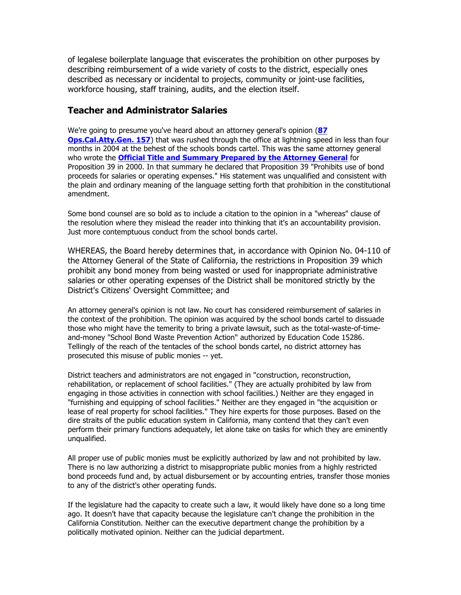of legalese boilerplate language that eviscerates the prohibition on other purposes by describing reimbursement of a wide variety of costs to the district, especially ones described as necessary or incidental to projects, community or joint-use facilities, workforce housing, staff training, audits, and the election itself.

#### **Teacher and Administrator Salaries**

We're going to presume you've heard about an attorney general's opinion (**87 Ops.Cal.Atty.Gen. 157**) that was rushed through the office at lightning speed in less than four months in 2004 at the behest of the schools bonds cartel. This was the same attorney general who wrote the **Official Title and Summary Prepared by the Attorney General** for Proposition 39 in 2000. In that summary he declared that Proposition 39 "Prohibits use of bond proceeds for salaries or operating expenses." His statement was unqualified and consistent with the plain and ordinary meaning of the language setting forth that prohibition in the constitutional amendment.

Some bond counsel are so bold as to include a citation to the opinion in a "whereas" clause of the resolution where they mislead the reader into thinking that it's an accountability provision. Just more contemptuous conduct from the school bonds cartel.

WHEREAS, the Board hereby determines that, in accordance with Opinion No. 04-110 of the Attorney General of the State of California, the restrictions in Proposition 39 which prohibit any bond money from being wasted or used for inappropriate administrative salaries or other operating expenses of the District shall be monitored strictly by the District's Citizens' Oversight Committee; and

An attorney general's opinion is not law. No court has considered reimbursement of salaries in the context of the prohibition. The opinion was acquired by the school bonds cartel to dissuade those who might have the temerity to bring a private lawsuit, such as the total-waste-of-timeand-money "School Bond Waste Prevention Action" authorized by Education Code 15286. Tellingly of the reach of the tentacles of the school bonds cartel, no district attorney has prosecuted this misuse of public monies -- yet.

District teachers and administrators are not engaged in "construction, reconstruction, rehabilitation, or replacement of school facilities." (They are actually prohibited by law from engaging in those activities in connection with school facilities.) Neither are they engaged in "furnishing and equipping of school facilities." Neither are they engaged in "the acquisition or lease of real property for school facilities." They hire experts for those purposes. Based on the dire straits of the public education system in California, many contend that they can't even perform their primary functions adequately, let alone take on tasks for which they are eminently unqualified.

All proper use of public monies must be explicitly authorized by law and not prohibited by law. There is no law authorizing a district to misappropriate public monies from a highly restricted bond proceeds fund and, by actual disbursement or by accounting entries, transfer those monies to any of the district's other operating funds.

If the legislature had the capacity to create such a law, it would likely have done so a long time ago. It doesn't have that capacity because the legislature can't change the prohibition in the California Constitution. Neither can the executive department change the prohibition by a politically motivated opinion. Neither can the judicial department.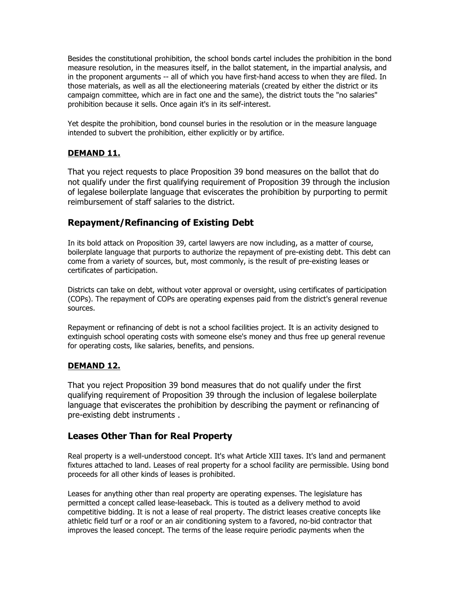Besides the constitutional prohibition, the school bonds cartel includes the prohibition in the bond measure resolution, in the measures itself, in the ballot statement, in the impartial analysis, and in the proponent arguments -- all of which you have first-hand access to when they are filed. In those materials, as well as all the electioneering materials (created by either the district or its campaign committee, which are in fact one and the same), the district touts the "no salaries" prohibition because it sells. Once again it's in its self-interest.

Yet despite the prohibition, bond counsel buries in the resolution or in the measure language intended to subvert the prohibition, either explicitly or by artifice.

#### **DEMAND 11.**

That you reject requests to place Proposition 39 bond measures on the ballot that do not qualify under the first qualifying requirement of Proposition 39 through the inclusion of legalese boilerplate language that eviscerates the prohibition by purporting to permit reimbursement of staff salaries to the district.

## **Repayment/Refinancing of Existing Debt**

In its bold attack on Proposition 39, cartel lawyers are now including, as a matter of course, boilerplate language that purports to authorize the repayment of pre-existing debt. This debt can come from a variety of sources, but, most commonly, is the result of pre-existing leases or certificates of participation.

Districts can take on debt, without voter approval or oversight, using certificates of participation (COPs). The repayment of COPs are operating expenses paid from the district's general revenue sources.

Repayment or refinancing of debt is not a school facilities project. It is an activity designed to extinguish school operating costs with someone else's money and thus free up general revenue for operating costs, like salaries, benefits, and pensions.

#### **DEMAND 12.**

That you reject Proposition 39 bond measures that do not qualify under the first qualifying requirement of Proposition 39 through the inclusion of legalese boilerplate language that eviscerates the prohibition by describing the payment or refinancing of pre-existing debt instruments .

#### **Leases Other Than for Real Property**

Real property is a well-understood concept. It's what Article XIII taxes. It's land and permanent fixtures attached to land. Leases of real property for a school facility are permissible. Using bond proceeds for all other kinds of leases is prohibited.

Leases for anything other than real property are operating expenses. The legislature has permitted a concept called lease-leaseback. This is touted as a delivery method to avoid competitive bidding. It is not a lease of real property. The district leases creative concepts like athletic field turf or a roof or an air conditioning system to a favored, no-bid contractor that improves the leased concept. The terms of the lease require periodic payments when the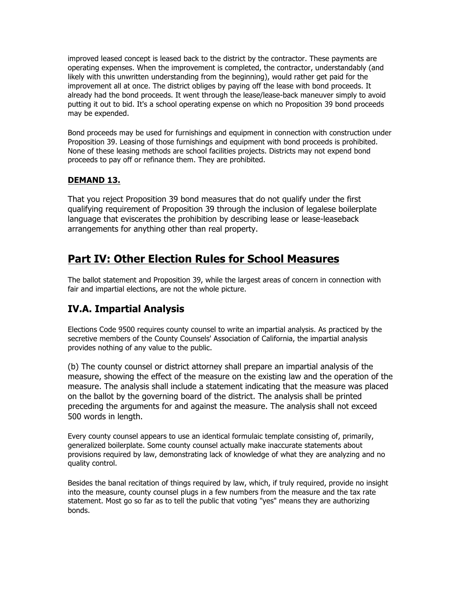improved leased concept is leased back to the district by the contractor. These payments are operating expenses. When the improvement is completed, the contractor, understandably (and likely with this unwritten understanding from the beginning), would rather get paid for the improvement all at once. The district obliges by paying off the lease with bond proceeds. It already had the bond proceeds. It went through the lease/lease-back maneuver simply to avoid putting it out to bid. It's a school operating expense on which no Proposition 39 bond proceeds may be expended.

Bond proceeds may be used for furnishings and equipment in connection with construction under Proposition 39. Leasing of those furnishings and equipment with bond proceeds is prohibited. None of these leasing methods are school facilities projects. Districts may not expend bond proceeds to pay off or refinance them. They are prohibited.

#### **DEMAND 13.**

That you reject Proposition 39 bond measures that do not qualify under the first qualifying requirement of Proposition 39 through the inclusion of legalese boilerplate language that eviscerates the prohibition by describing lease or lease-leaseback arrangements for anything other than real property.

# **Part IV: Other Election Rules for School Measures**

The ballot statement and Proposition 39, while the largest areas of concern in connection with fair and impartial elections, are not the whole picture.

# **IV.A. Impartial Analysis**

Elections Code 9500 requires county counsel to write an impartial analysis. As practiced by the secretive members of the County Counsels' Association of California, the impartial analysis provides nothing of any value to the public.

(b) The county counsel or district attorney shall prepare an impartial analysis of the measure, showing the effect of the measure on the existing law and the operation of the measure. The analysis shall include a statement indicating that the measure was placed on the ballot by the governing board of the district. The analysis shall be printed preceding the arguments for and against the measure. The analysis shall not exceed 500 words in length.

Every county counsel appears to use an identical formulaic template consisting of, primarily, generalized boilerplate. Some county counsel actually make inaccurate statements about provisions required by law, demonstrating lack of knowledge of what they are analyzing and no quality control.

Besides the banal recitation of things required by law, which, if truly required, provide no insight into the measure, county counsel plugs in a few numbers from the measure and the tax rate statement. Most go so far as to tell the public that voting "yes" means they are authorizing bonds.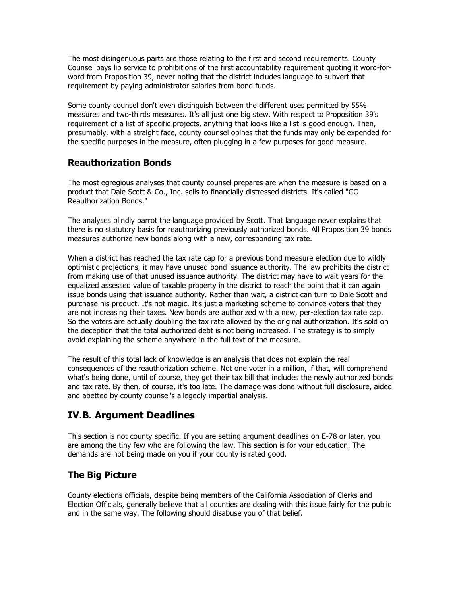The most disingenuous parts are those relating to the first and second requirements. County Counsel pays lip service to prohibitions of the first accountability requirement quoting it word-forword from Proposition 39, never noting that the district includes language to subvert that requirement by paying administrator salaries from bond funds.

Some county counsel don't even distinguish between the different uses permitted by 55% measures and two-thirds measures. It's all just one big stew. With respect to Proposition 39's requirement of a list of specific projects, anything that looks like a list is good enough. Then, presumably, with a straight face, county counsel opines that the funds may only be expended for the specific purposes in the measure, often plugging in a few purposes for good measure.

## **Reauthorization Bonds**

The most egregious analyses that county counsel prepares are when the measure is based on a product that Dale Scott & Co., Inc. sells to financially distressed districts. It's called "GO Reauthorization Bonds."

The analyses blindly parrot the language provided by Scott. That language never explains that there is no statutory basis for reauthorizing previously authorized bonds. All Proposition 39 bonds measures authorize new bonds along with a new, corresponding tax rate.

When a district has reached the tax rate cap for a previous bond measure election due to wildly optimistic projections, it may have unused bond issuance authority. The law prohibits the district from making use of that unused issuance authority. The district may have to wait years for the equalized assessed value of taxable property in the district to reach the point that it can again issue bonds using that issuance authority. Rather than wait, a district can turn to Dale Scott and purchase his product. It's not magic. It's just a marketing scheme to convince voters that they are not increasing their taxes. New bonds are authorized with a new, per-election tax rate cap. So the voters are actually doubling the tax rate allowed by the original authorization. It's sold on the deception that the total authorized debt is not being increased. The strategy is to simply avoid explaining the scheme anywhere in the full text of the measure.

The result of this total lack of knowledge is an analysis that does not explain the real consequences of the reauthorization scheme. Not one voter in a million, if that, will comprehend what's being done, until of course, they get their tax bill that includes the newly authorized bonds and tax rate. By then, of course, it's too late. The damage was done without full disclosure, aided and abetted by county counsel's allegedly impartial analysis.

# **IV.B. Argument Deadlines**

This section is not county specific. If you are setting argument deadlines on E-78 or later, you are among the tiny few who are following the law. This section is for your education. The demands are not being made on you if your county is rated good.

#### **The Big Picture**

County elections officials, despite being members of the California Association of Clerks and Election Officials, generally believe that all counties are dealing with this issue fairly for the public and in the same way. The following should disabuse you of that belief.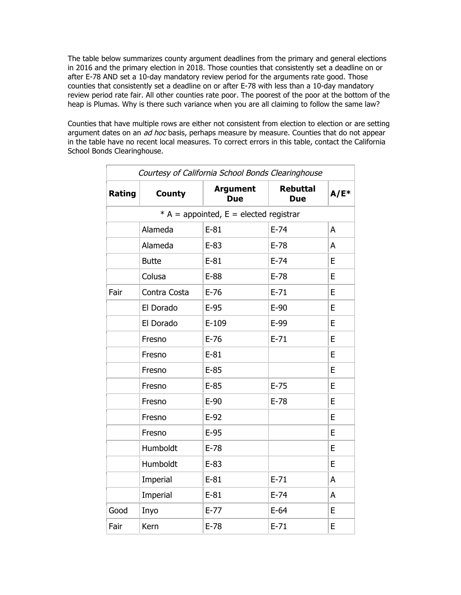The table below summarizes county argument deadlines from the primary and general elections in 2016 and the primary election in 2018. Those counties that consistently set a deadline on or after E-78 AND set a 10-day mandatory review period for the arguments rate good. Those counties that consistently set a deadline on or after E-78 with less than a 10-day mandatory review period rate fair. All other counties rate poor. The poorest of the poor at the bottom of the heap is Plumas. Why is there such variance when you are all claiming to follow the same law?

Counties that have multiple rows are either not consistent from election to election or are setting argument dates on an  $ad$  hoc basis, perhaps measure by measure. Counties that do not appear in the table have no recent local measures. To correct errors in this table, contact the California School Bonds Clearinghouse.

| Courtesy of California School Bonds Clearinghouse |               |                                          |                               |         |  |  |
|---------------------------------------------------|---------------|------------------------------------------|-------------------------------|---------|--|--|
| Rating                                            | <b>County</b> | <b>Argument</b><br><b>Due</b>            | <b>Rebuttal</b><br><b>Due</b> | $A/E^*$ |  |  |
|                                                   |               | * A = appointed, $E$ = elected registrar |                               |         |  |  |
|                                                   | Alameda       | $E-81$                                   | $E-74$                        | Α       |  |  |
|                                                   | Alameda       | $E-83$                                   | $E-78$                        | A       |  |  |
|                                                   | <b>Butte</b>  | $E-81$                                   | $E-74$                        | E       |  |  |
|                                                   | Colusa        | $E-88$                                   | $E-78$                        | E       |  |  |
| Fair                                              | Contra Costa  | $E-76$                                   | $E-71$                        | E       |  |  |
|                                                   | El Dorado     | $E-95$                                   | $E-90$                        | E       |  |  |
|                                                   | El Dorado     | $E-109$                                  | $E-99$                        | E       |  |  |
|                                                   | Fresno        | $E-76$                                   | $E-71$                        | E       |  |  |
|                                                   | Fresno        | $E-81$                                   |                               | E       |  |  |
|                                                   | Fresno        | $E-85$                                   |                               | E       |  |  |
|                                                   | Fresno        | $E-85$                                   | $E-75$                        | E       |  |  |
|                                                   | Fresno        | $E-90$                                   | $E-78$                        | E       |  |  |
|                                                   | Fresno        | $E-92$                                   |                               | E       |  |  |
|                                                   | Fresno        | $E-95$                                   |                               | E       |  |  |
|                                                   | Humboldt      | $E-78$                                   |                               | E       |  |  |
|                                                   | Humboldt      | $E-83$                                   |                               | E       |  |  |
|                                                   | Imperial      | $E-81$                                   | $E-71$                        | A       |  |  |
|                                                   | Imperial      | $E-81$                                   | $E-74$                        | A       |  |  |
| Good                                              | Inyo          | $E-77$                                   | $E-64$                        | E       |  |  |
| Fair                                              | Kern          | $E-78$                                   | $E-71$                        | E       |  |  |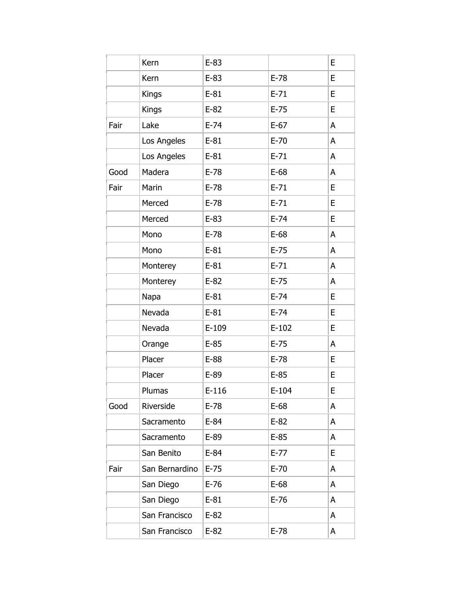|      | Kern           | $E-83$  |         | E |
|------|----------------|---------|---------|---|
|      | Kern           | $E-83$  | $E-78$  | E |
|      | <b>Kings</b>   | $E-81$  | $E-71$  | E |
|      | Kings          | $E-82$  | $E-75$  | E |
| Fair | Lake           | $E-74$  | $E-67$  | A |
|      | Los Angeles    | $E-81$  | $E-70$  | A |
|      | Los Angeles    | $E-81$  | $E-71$  | Α |
| Good | Madera         | $E-78$  | $E-68$  | A |
| Fair | Marin          | $E-78$  | $E-71$  | E |
|      | Merced         | $E-78$  | $E-71$  | E |
|      | Merced         | $E-83$  | $E-74$  | E |
|      | Mono           | $E-78$  | $E-68$  | A |
|      | Mono           | $E-81$  | $E-75$  | A |
|      | Monterey       | $E-81$  | $E-71$  | A |
|      | Monterey       | $E-82$  | $E-75$  | A |
|      | Napa           | $E-81$  | $E-74$  | E |
|      | Nevada         | $E-81$  | $E-74$  | E |
|      | Nevada         | $E-109$ | $E-102$ | E |
|      | Orange         | $E-85$  | $E-75$  | A |
|      | Placer         | $E-88$  | $E-78$  | E |
|      | Placer         | $E-89$  | $E-85$  | E |
|      | Plumas         | $E-116$ | $E-104$ | E |
| Good | Riverside      | $E-78$  | $E-68$  | A |
|      | Sacramento     | $E-84$  | $E-82$  | A |
|      | Sacramento     | $E-89$  | $E-85$  | A |
|      | San Benito     | $E-84$  | $E-77$  | E |
| Fair | San Bernardino | $E-75$  | $E-70$  | Α |
|      | San Diego      | $E-76$  | $E-68$  | A |
|      | San Diego      | $E-81$  | $E-76$  | A |
|      | San Francisco  | $E-82$  |         | A |
|      | San Francisco  | $E-82$  | $E-78$  | A |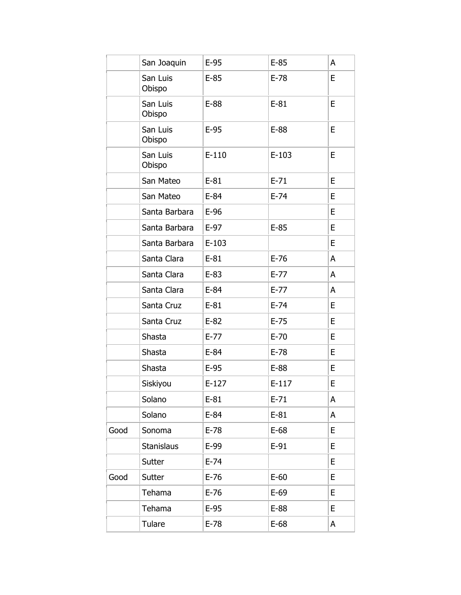|      | San Joaquin        | $E-95$  | $E-85$  | A |
|------|--------------------|---------|---------|---|
|      | San Luis<br>Obispo | $E-85$  | $E-78$  | E |
|      | San Luis<br>Obispo | $E-88$  | $E-81$  | E |
|      | San Luis<br>Obispo | $E-95$  | $E-88$  | E |
|      | San Luis<br>Obispo | $E-110$ | $E-103$ | E |
|      | San Mateo          | $E-81$  | $E-71$  | E |
|      | San Mateo          | $E-84$  | $E-74$  | E |
|      | Santa Barbara      | $E-96$  |         | E |
|      | Santa Barbara      | $E-97$  | $E-85$  | E |
|      | Santa Barbara      | $E-103$ |         | E |
|      | Santa Clara        | $E-81$  | $E-76$  | A |
|      | Santa Clara        | $E-83$  | $E-77$  | A |
|      | Santa Clara        | $E-84$  | $E-77$  | Α |
|      | Santa Cruz         | $E-81$  | $E-74$  | E |
|      | Santa Cruz         | $E-82$  | $E-75$  | E |
|      | Shasta             | $E-77$  | $E-70$  | E |
|      | Shasta             | $E-84$  | $E-78$  | E |
|      | Shasta             | $E-95$  | $E-88$  | E |
|      | Siskiyou           | $E-127$ | $E-117$ | E |
|      | Solano             | $E-81$  | $E-71$  | A |
|      | Solano             | $E-84$  | $E-81$  | A |
| Good | Sonoma             | $E-78$  | $E-68$  | E |
|      | <b>Stanislaus</b>  | $E-99$  | $E-91$  | E |
|      | Sutter             | $E-74$  |         | E |
| Good | Sutter             | $E-76$  | $E-60$  | E |
|      | Tehama             | $E-76$  | $E-69$  | E |
|      | Tehama             | $E-95$  | $E-88$  | E |
|      | Tulare             | $E-78$  | $E-68$  | A |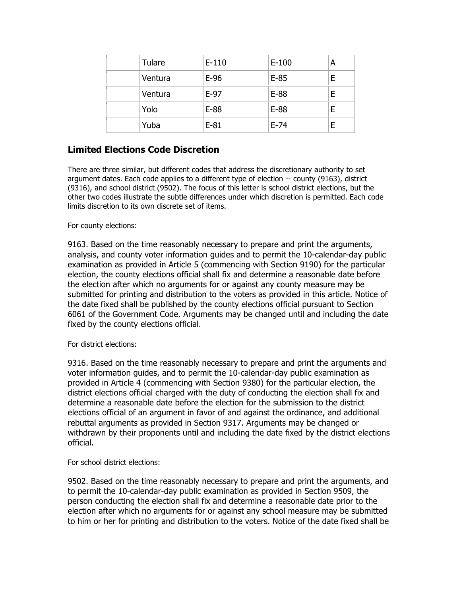| Tulare  | $E-110$ | $E-100$ | А |
|---------|---------|---------|---|
| Ventura | $E-96$  | $E-85$  | F |
| Ventura | $E-97$  | $E-88$  | F |
| Yolo    | $E-88$  | $E-88$  | E |
| Yuba    | $E-81$  | $E-74$  | F |

## **Limited Elections Code Discretion**

There are three similar, but different codes that address the discretionary authority to set argument dates. Each code applies to a different type of election -- county (9163), district (9316), and school district (9502). The focus of this letter is school district elections, but the other two codes illustrate the subtle differences under which discretion is permitted. Each code limits discretion to its own discrete set of items.

#### For county elections:

9163. Based on the time reasonably necessary to prepare and print the arguments, analysis, and county voter information guides and to permit the 10-calendar-day public examination as provided in Article 5 (commencing with Section 9190) for the particular election, the county elections official shall fix and determine a reasonable date before the election after which no arguments for or against any county measure may be submitted for printing and distribution to the voters as provided in this article. Notice of the date fixed shall be published by the county elections official pursuant to Section 6061 of the Government Code. Arguments may be changed until and including the date fixed by the county elections official.

#### For district elections:

9316. Based on the time reasonably necessary to prepare and print the arguments and voter information guides, and to permit the 10-calendar-day public examination as provided in Article 4 (commencing with Section 9380) for the particular election, the district elections official charged with the duty of conducting the election shall fix and determine a reasonable date before the election for the submission to the district elections official of an argument in favor of and against the ordinance, and additional rebuttal arguments as provided in Section 9317. Arguments may be changed or withdrawn by their proponents until and including the date fixed by the district elections official.

#### For school district elections:

9502. Based on the time reasonably necessary to prepare and print the arguments, and to permit the 10-calendar-day public examination as provided in Section 9509, the person conducting the election shall fix and determine a reasonable date prior to the election after which no arguments for or against any school measure may be submitted to him or her for printing and distribution to the voters. Notice of the date fixed shall be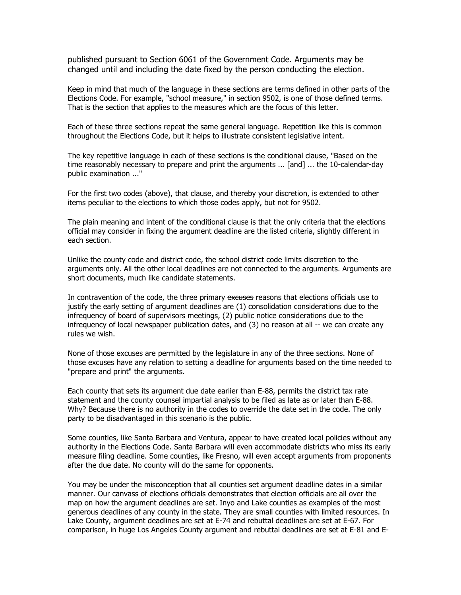published pursuant to Section 6061 of the Government Code. Arguments may be changed until and including the date fixed by the person conducting the election.

Keep in mind that much of the language in these sections are terms defined in other parts of the Elections Code. For example, "school measure," in section 9502, is one of those defined terms. That is the section that applies to the measures which are the focus of this letter.

Each of these three sections repeat the same general language. Repetition like this is common throughout the Elections Code, but it helps to illustrate consistent legislative intent.

The key repetitive language in each of these sections is the conditional clause, "Based on the time reasonably necessary to prepare and print the arguments ... [and] ... the 10-calendar-day public examination ..."

For the first two codes (above), that clause, and thereby your discretion, is extended to other items peculiar to the elections to which those codes apply, but not for 9502.

The plain meaning and intent of the conditional clause is that the only criteria that the elections official may consider in fixing the argument deadline are the listed criteria, slightly different in each section.

Unlike the county code and district code, the school district code limits discretion to the arguments only. All the other local deadlines are not connected to the arguments. Arguments are short documents, much like candidate statements.

In contravention of the code, the three primary excuses reasons that elections officials use to justify the early setting of argument deadlines are (1) consolidation considerations due to the infrequency of board of supervisors meetings, (2) public notice considerations due to the infrequency of local newspaper publication dates, and (3) no reason at all -- we can create any rules we wish.

None of those excuses are permitted by the legislature in any of the three sections. None of those excuses have any relation to setting a deadline for arguments based on the time needed to "prepare and print" the arguments.

Each county that sets its argument due date earlier than E-88, permits the district tax rate statement and the county counsel impartial analysis to be filed as late as or later than E-88. Why? Because there is no authority in the codes to override the date set in the code. The only party to be disadvantaged in this scenario is the public.

Some counties, like Santa Barbara and Ventura, appear to have created local policies without any authority in the Elections Code. Santa Barbara will even accommodate districts who miss its early measure filing deadline. Some counties, like Fresno, will even accept arguments from proponents after the due date. No county will do the same for opponents.

You may be under the misconception that all counties set argument deadline dates in a similar manner. Our canvass of elections officials demonstrates that election officials are all over the map on how the argument deadlines are set. Inyo and Lake counties as examples of the most generous deadlines of any county in the state. They are small counties with limited resources. In Lake County, argument deadlines are set at E-74 and rebuttal deadlines are set at E-67. For comparison, in huge Los Angeles County argument and rebuttal deadlines are set at E-81 and E-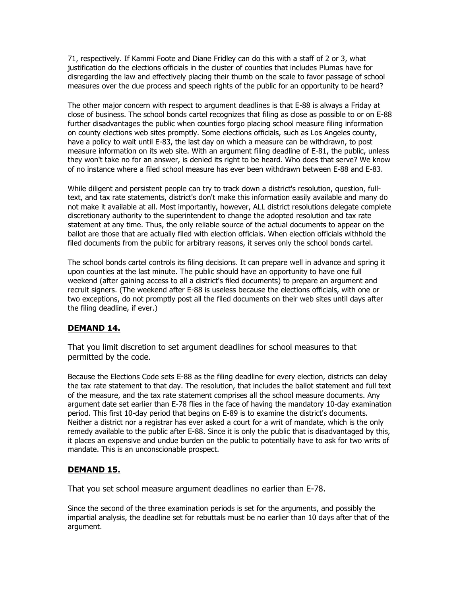71, respectively. If Kammi Foote and Diane Fridley can do this with a staff of 2 or 3, what justification do the elections officials in the cluster of counties that includes Plumas have for disregarding the law and effectively placing their thumb on the scale to favor passage of school measures over the due process and speech rights of the public for an opportunity to be heard?

The other major concern with respect to argument deadlines is that E-88 is always a Friday at close of business. The school bonds cartel recognizes that filing as close as possible to or on E-88 further disadvantages the public when counties forgo placing school measure filing information on county elections web sites promptly. Some elections officials, such as Los Angeles county, have a policy to wait until E-83, the last day on which a measure can be withdrawn, to post measure information on its web site. With an argument filing deadline of E-81, the public, unless they won't take no for an answer, is denied its right to be heard. Who does that serve? We know of no instance where a filed school measure has ever been withdrawn between E-88 and E-83.

While diligent and persistent people can try to track down a district's resolution, question, fulltext, and tax rate statements, district's don't make this information easily available and many do not make it available at all. Most importantly, however, ALL district resolutions delegate complete discretionary authority to the superintendent to change the adopted resolution and tax rate statement at any time. Thus, the only reliable source of the actual documents to appear on the ballot are those that are actually filed with election officials. When election officials withhold the filed documents from the public for arbitrary reasons, it serves only the school bonds cartel.

The school bonds cartel controls its filing decisions. It can prepare well in advance and spring it upon counties at the last minute. The public should have an opportunity to have one full weekend (after gaining access to all a district's filed documents) to prepare an argument and recruit signers. (The weekend after E-88 is useless because the elections officials, with one or two exceptions, do not promptly post all the filed documents on their web sites until days after the filing deadline, if ever.)

#### **DEMAND 14.**

That you limit discretion to set argument deadlines for school measures to that permitted by the code.

Because the Elections Code sets E-88 as the filing deadline for every election, districts can delay the tax rate statement to that day. The resolution, that includes the ballot statement and full text of the measure, and the tax rate statement comprises all the school measure documents. Any argument date set earlier than E-78 flies in the face of having the mandatory 10-day examination period. This first 10-day period that begins on E-89 is to examine the district's documents. Neither a district nor a registrar has ever asked a court for a writ of mandate, which is the only remedy available to the public after E-88. Since it is only the public that is disadvantaged by this, it places an expensive and undue burden on the public to potentially have to ask for two writs of mandate. This is an unconscionable prospect.

#### **DEMAND 15.**

That you set school measure argument deadlines no earlier than E-78.

Since the second of the three examination periods is set for the arguments, and possibly the impartial analysis, the deadline set for rebuttals must be no earlier than 10 days after that of the argument.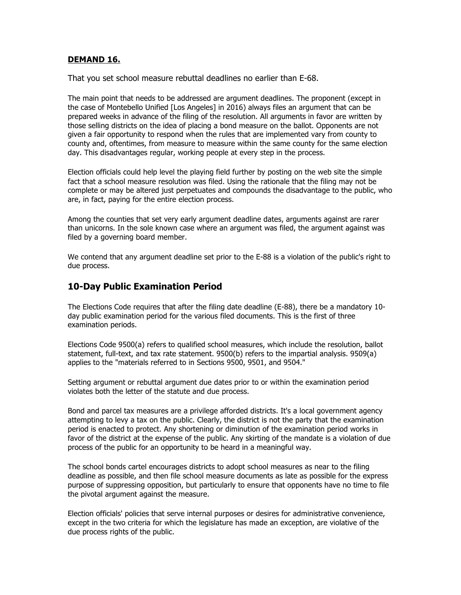#### **DEMAND 16.**

That you set school measure rebuttal deadlines no earlier than E-68.

The main point that needs to be addressed are argument deadlines. The proponent (except in the case of Montebello Unified [Los Angeles] in 2016) always files an argument that can be prepared weeks in advance of the filing of the resolution. All arguments in favor are written by those selling districts on the idea of placing a bond measure on the ballot. Opponents are not given a fair opportunity to respond when the rules that are implemented vary from county to county and, oftentimes, from measure to measure within the same county for the same election day. This disadvantages regular, working people at every step in the process.

Election officials could help level the playing field further by posting on the web site the simple fact that a school measure resolution was filed. Using the rationale that the filing may not be complete or may be altered just perpetuates and compounds the disadvantage to the public, who are, in fact, paying for the entire election process.

Among the counties that set very early argument deadline dates, arguments against are rarer than unicorns. In the sole known case where an argument was filed, the argument against was filed by a governing board member.

We contend that any argument deadline set prior to the E-88 is a violation of the public's right to due process.

#### **10-Day Public Examination Period**

The Elections Code requires that after the filing date deadline (E-88), there be a mandatory 10 day public examination period for the various filed documents. This is the first of three examination periods.

Elections Code 9500(a) refers to qualified school measures, which include the resolution, ballot statement, full-text, and tax rate statement. 9500(b) refers to the impartial analysis. 9509(a) applies to the "materials referred to in Sections 9500, 9501, and 9504."

Setting argument or rebuttal argument due dates prior to or within the examination period violates both the letter of the statute and due process.

Bond and parcel tax measures are a privilege afforded districts. It's a local government agency attempting to levy a tax on the public. Clearly, the district is not the party that the examination period is enacted to protect. Any shortening or diminution of the examination period works in favor of the district at the expense of the public. Any skirting of the mandate is a violation of due process of the public for an opportunity to be heard in a meaningful way.

The school bonds cartel encourages districts to adopt school measures as near to the filing deadline as possible, and then file school measure documents as late as possible for the express purpose of suppressing opposition, but particularly to ensure that opponents have no time to file the pivotal argument against the measure.

Election officials' policies that serve internal purposes or desires for administrative convenience, except in the two criteria for which the legislature has made an exception, are violative of the due process rights of the public.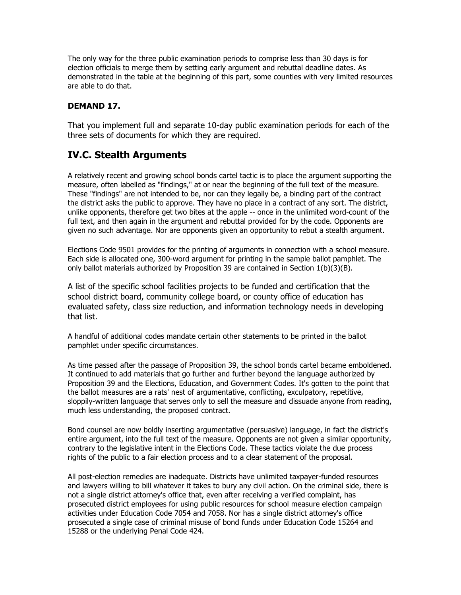The only way for the three public examination periods to comprise less than 30 days is for election officials to merge them by setting early argument and rebuttal deadline dates. As demonstrated in the table at the beginning of this part, some counties with very limited resources are able to do that.

#### **DEMAND 17.**

That you implement full and separate 10-day public examination periods for each of the three sets of documents for which they are required.

# **IV.C. Stealth Arguments**

A relatively recent and growing school bonds cartel tactic is to place the argument supporting the measure, often labelled as "findings," at or near the beginning of the full text of the measure. These "findings" are not intended to be, nor can they legally be, a binding part of the contract the district asks the public to approve. They have no place in a contract of any sort. The district, unlike opponents, therefore get two bites at the apple -- once in the unlimited word-count of the full text, and then again in the argument and rebuttal provided for by the code. Opponents are given no such advantage. Nor are opponents given an opportunity to rebut a stealth argument.

Elections Code 9501 provides for the printing of arguments in connection with a school measure. Each side is allocated one, 300-word argument for printing in the sample ballot pamphlet. The only ballot materials authorized by Proposition 39 are contained in Section  $1(b)(3)(B)$ .

A list of the specific school facilities projects to be funded and certification that the school district board, community college board, or county office of education has evaluated safety, class size reduction, and information technology needs in developing that list.

A handful of additional codes mandate certain other statements to be printed in the ballot pamphlet under specific circumstances.

As time passed after the passage of Proposition 39, the school bonds cartel became emboldened. It continued to add materials that go further and further beyond the language authorized by Proposition 39 and the Elections, Education, and Government Codes. It's gotten to the point that the ballot measures are a rats' nest of argumentative, conflicting, exculpatory, repetitive, sloppily-written language that serves only to sell the measure and dissuade anyone from reading, much less understanding, the proposed contract.

Bond counsel are now boldly inserting argumentative (persuasive) language, in fact the district's entire argument, into the full text of the measure. Opponents are not given a similar opportunity, contrary to the legislative intent in the Elections Code. These tactics violate the due process rights of the public to a fair election process and to a clear statement of the proposal.

All post-election remedies are inadequate. Districts have unlimited taxpayer-funded resources and lawyers willing to bill whatever it takes to bury any civil action. On the criminal side, there is not a single district attorney's office that, even after receiving a verified complaint, has prosecuted district employees for using public resources for school measure election campaign activities under Education Code 7054 and 7058. Nor has a single district attorney's office prosecuted a single case of criminal misuse of bond funds under Education Code 15264 and 15288 or the underlying Penal Code 424.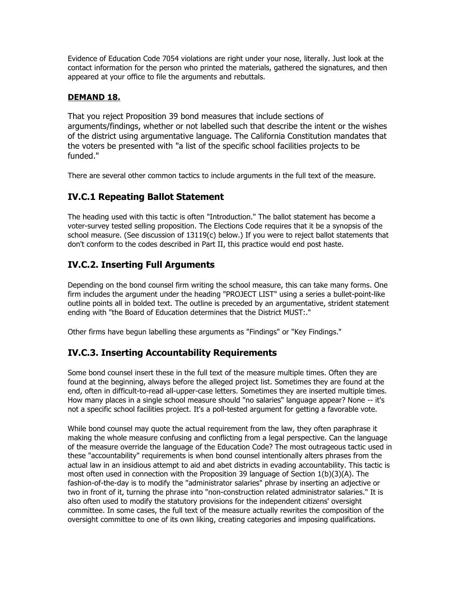Evidence of Education Code 7054 violations are right under your nose, literally. Just look at the contact information for the person who printed the materials, gathered the signatures, and then appeared at your office to file the arguments and rebuttals.

#### **DEMAND 18.**

That you reject Proposition 39 bond measures that include sections of arguments/findings, whether or not labelled such that describe the intent or the wishes of the district using argumentative language. The California Constitution mandates that the voters be presented with "a list of the specific school facilities projects to be funded."

There are several other common tactics to include arguments in the full text of the measure.

## **IV.C.1 Repeating Ballot Statement**

The heading used with this tactic is often "Introduction." The ballot statement has become a voter-survey tested selling proposition. The Elections Code requires that it be a synopsis of the school measure. (See discussion of 13119(c) below.) If you were to reject ballot statements that don't conform to the codes described in Part II, this practice would end post haste.

# **IV.C.2. Inserting Full Arguments**

Depending on the bond counsel firm writing the school measure, this can take many forms. One firm includes the argument under the heading "PROJECT LIST" using a series a bullet-point-like outline points all in bolded text. The outline is preceded by an argumentative, strident statement ending with "the Board of Education determines that the District MUST:."

Other firms have begun labelling these arguments as "Findings" or "Key Findings."

## **IV.C.3. Inserting Accountability Requirements**

Some bond counsel insert these in the full text of the measure multiple times. Often they are found at the beginning, always before the alleged project list. Sometimes they are found at the end, often in difficult-to-read all-upper-case letters. Sometimes they are inserted multiple times. How many places in a single school measure should "no salaries" language appear? None -- it's not a specific school facilities project. It's a poll-tested argument for getting a favorable vote.

While bond counsel may quote the actual requirement from the law, they often paraphrase it making the whole measure confusing and conflicting from a legal perspective. Can the language of the measure override the language of the Education Code? The most outrageous tactic used in these "accountability" requirements is when bond counsel intentionally alters phrases from the actual law in an insidious attempt to aid and abet districts in evading accountability. This tactic is most often used in connection with the Proposition 39 language of Section 1(b)(3)(A). The fashion-of-the-day is to modify the "administrator salaries" phrase by inserting an adjective or two in front of it, turning the phrase into "non-construction related administrator salaries." It is also often used to modify the statutory provisions for the independent citizens' oversight committee. In some cases, the full text of the measure actually rewrites the composition of the oversight committee to one of its own liking, creating categories and imposing qualifications.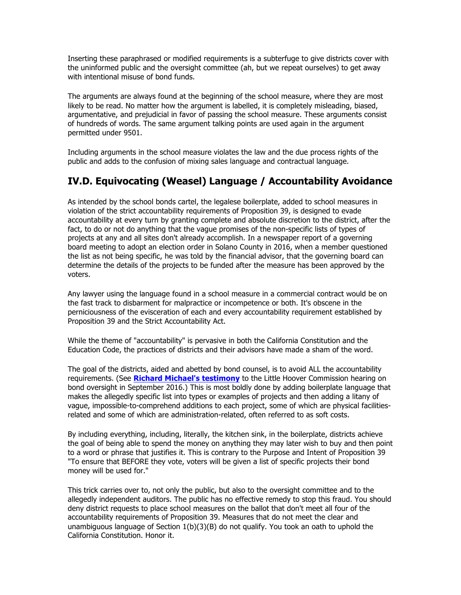Inserting these paraphrased or modified requirements is a subterfuge to give districts cover with the uninformed public and the oversight committee (ah, but we repeat ourselves) to get away with intentional misuse of bond funds.

The arguments are always found at the beginning of the school measure, where they are most likely to be read. No matter how the argument is labelled, it is completely misleading, biased, argumentative, and prejudicial in favor of passing the school measure. These arguments consist of hundreds of words. The same argument talking points are used again in the argument permitted under 9501.

Including arguments in the school measure violates the law and the due process rights of the public and adds to the confusion of mixing sales language and contractual language.

# **IV.D. Equivocating (Weasel) Language / Accountability Avoidance**

As intended by the school bonds cartel, the legalese boilerplate, added to school measures in violation of the strict accountability requirements of Proposition 39, is designed to evade accountability at every turn by granting complete and absolute discretion to the district, after the fact, to do or not do anything that the vague promises of the non-specific lists of types of projects at any and all sites don't already accomplish. In a newspaper report of a governing board meeting to adopt an election order in Solano County in 2016, when a member questioned the list as not being specific, he was told by the financial advisor, that the governing board can determine the details of the projects to be funded after the measure has been approved by the voters.

Any lawyer using the language found in a school measure in a commercial contract would be on the fast track to disbarment for malpractice or incompetence or both. It's obscene in the perniciousness of the evisceration of each and every accountability requirement established by Proposition 39 and the Strict Accountability Act.

While the theme of "accountability" is pervasive in both the California Constitution and the Education Code, the practices of districts and their advisors have made a sham of the word.

The goal of the districts, aided and abetted by bond counsel, is to avoid ALL the accountability requirements. (See **Richard Michael's testimony** to the Little Hoover Commission hearing on bond oversight in September 2016.) This is most boldly done by adding boilerplate language that makes the allegedly specific list into types or examples of projects and then adding a litany of vague, impossible-to-comprehend additions to each project, some of which are physical facilitiesrelated and some of which are administration-related, often referred to as soft costs.

By including everything, including, literally, the kitchen sink, in the boilerplate, districts achieve the goal of being able to spend the money on anything they may later wish to buy and then point to a word or phrase that justifies it. This is contrary to the Purpose and Intent of Proposition 39 "To ensure that BEFORE they vote, voters will be given a list of specific projects their bond money will be used for."

This trick carries over to, not only the public, but also to the oversight committee and to the allegedly independent auditors. The public has no effective remedy to stop this fraud. You should deny district requests to place school measures on the ballot that don't meet all four of the accountability requirements of Proposition 39. Measures that do not meet the clear and unambiguous language of Section 1(b)(3)(B) do not qualify. You took an oath to uphold the California Constitution. Honor it.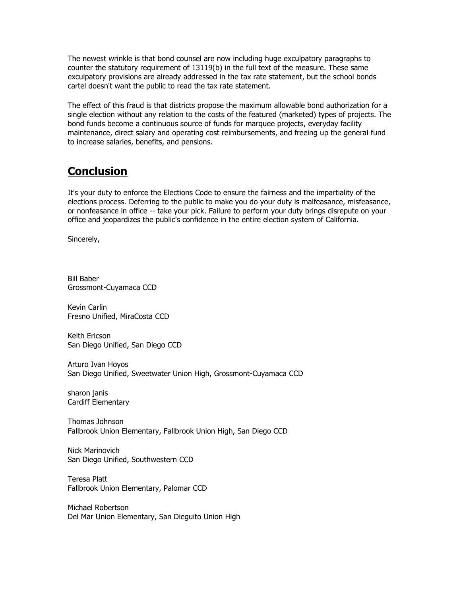The newest wrinkle is that bond counsel are now including huge exculpatory paragraphs to counter the statutory requirement of 13119(b) in the full text of the measure. These same exculpatory provisions are already addressed in the tax rate statement, but the school bonds cartel doesn't want the public to read the tax rate statement.

The effect of this fraud is that districts propose the maximum allowable bond authorization for a single election without any relation to the costs of the featured (marketed) types of projects. The bond funds become a continuous source of funds for marquee projects, everyday facility maintenance, direct salary and operating cost reimbursements, and freeing up the general fund to increase salaries, benefits, and pensions.

# **Conclusion**

It's your duty to enforce the Elections Code to ensure the fairness and the impartiality of the elections process. Deferring to the public to make you do your duty is malfeasance, misfeasance, or nonfeasance in office -- take your pick. Failure to perform your duty brings disrepute on your office and jeopardizes the public's confidence in the entire election system of California.

Sincerely,

Bill Baber Grossmont-Cuyamaca CCD

Kevin Carlin Fresno Unified, MiraCosta CCD

Keith Ericson San Diego Unified, San Diego CCD

Arturo Ivan Hoyos San Diego Unified, Sweetwater Union High, Grossmont-Cuyamaca CCD

sharon janis Cardiff Elementary

Thomas Johnson Fallbrook Union Elementary, Fallbrook Union High, San Diego CCD

Nick Marinovich San Diego Unified, Southwestern CCD

Teresa Platt Fallbrook Union Elementary, Palomar CCD

Michael Robertson Del Mar Union Elementary, San Dieguito Union High